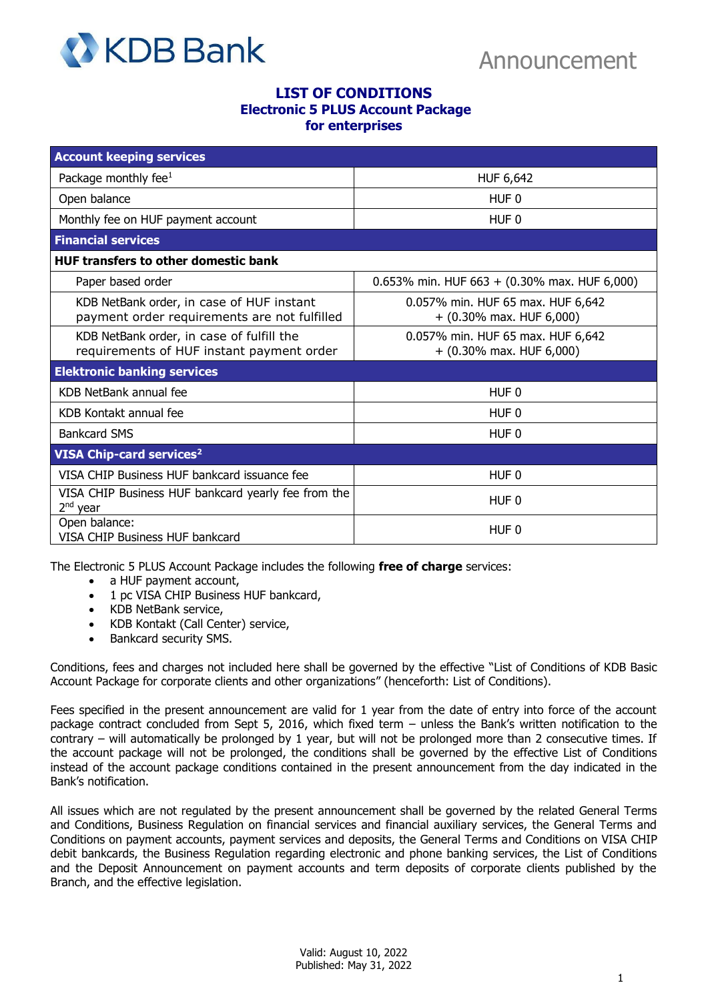

## **LIST OF CONDITIONS Electronic 5 PLUS Account Package for enterprises**

| <b>Account keeping services</b>                                                           |                                                                 |
|-------------------------------------------------------------------------------------------|-----------------------------------------------------------------|
| Package monthly fee <sup>1</sup>                                                          | HUF 6,642                                                       |
| Open balance                                                                              | HUF <sub>0</sub>                                                |
| Monthly fee on HUF payment account                                                        | HUF 0                                                           |
| <b>Financial services</b>                                                                 |                                                                 |
| <b>HUF transfers to other domestic bank</b>                                               |                                                                 |
| Paper based order                                                                         | 0.653% min. HUF 663 + (0.30% max. HUF 6,000)                    |
| KDB NetBank order, in case of HUF instant<br>payment order requirements are not fulfilled | 0.057% min. HUF 65 max. HUF 6,642<br>$+$ (0.30% max. HUF 6,000) |
| KDB NetBank order, in case of fulfill the<br>requirements of HUF instant payment order    | 0.057% min. HUF 65 max. HUF 6,642<br>$+$ (0.30% max. HUF 6,000) |
| <b>Elektronic banking services</b>                                                        |                                                                 |
| KDB NetBank annual fee                                                                    | HUF <sub>0</sub>                                                |
| KDB Kontakt annual fee                                                                    | HUF <sub>0</sub>                                                |
| <b>Bankcard SMS</b>                                                                       | HUF <sub>0</sub>                                                |
| VISA Chip-card services <sup>2</sup>                                                      |                                                                 |
| VISA CHIP Business HUF bankcard issuance fee                                              | HUF <sub>0</sub>                                                |
| VISA CHIP Business HUF bankcard yearly fee from the<br>$2nd$ year                         | HUF 0                                                           |
| Open balance:<br>VISA CHIP Business HUF bankcard                                          | HUF 0                                                           |

The Electronic 5 PLUS Account Package includes the following **free of charge** services:

- a HUF payment account,
- 1 pc VISA CHIP Business HUF bankcard,
- KDB NetBank service,
- KDB Kontakt (Call Center) service,
- Bankcard security SMS.

Conditions, fees and charges not included here shall be governed by the effective "List of Conditions of KDB Basic Account Package for corporate clients and other organizations" (henceforth: List of Conditions).

Fees specified in the present announcement are valid for 1 year from the date of entry into force of the account package contract concluded from Sept 5, 2016, which fixed term – unless the Bank's written notification to the contrary – will automatically be prolonged by 1 year, but will not be prolonged more than 2 consecutive times. If the account package will not be prolonged, the conditions shall be governed by the effective List of Conditions instead of the account package conditions contained in the present announcement from the day indicated in the Bank's notification.

All issues which are not regulated by the present announcement shall be governed by the related General Terms and Conditions, Business Regulation on financial services and financial auxiliary services, the General Terms and Conditions on payment accounts, payment services and deposits, the General Terms and Conditions on VISA CHIP debit bankcards, the Business Regulation regarding electronic and phone banking services, the List of Conditions and the Deposit Announcement on payment accounts and term deposits of corporate clients published by the Branch, and the effective legislation.